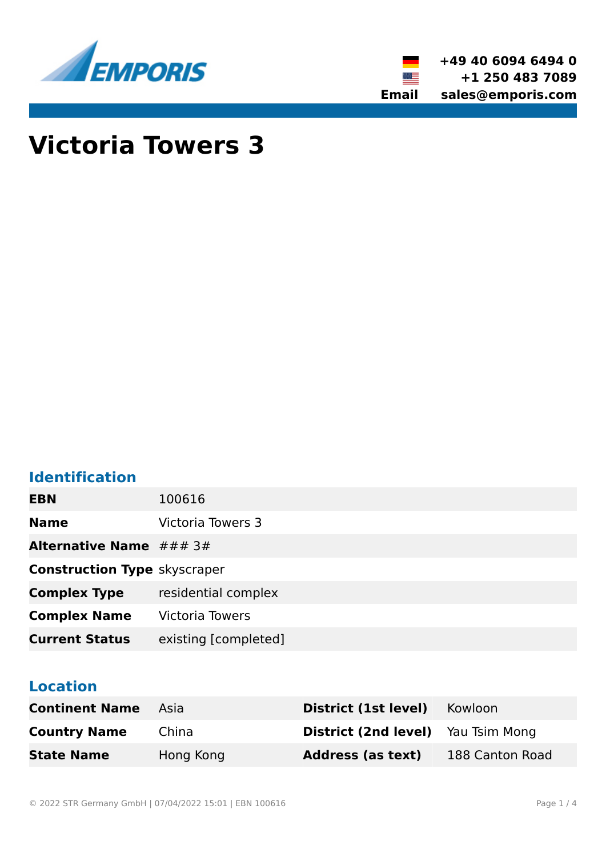



# **Victoria Towers 3**

# **Identification**

| <b>EBN</b>                             | 100616                 |
|----------------------------------------|------------------------|
| <b>Name</b>                            | Victoria Towers 3      |
| <b>Alternative Name</b> $\# \# \# 3\#$ |                        |
| <b>Construction Type skyscraper</b>    |                        |
| <b>Complex Type</b>                    | residential complex    |
| <b>Complex Name</b>                    | <b>Victoria Towers</b> |
| <b>Current Status</b>                  | existing [completed]   |

# **Location**

| <b>Continent Name</b> | Asia      | District (1st level)                      | Kowloon         |
|-----------------------|-----------|-------------------------------------------|-----------------|
| <b>Country Name</b>   | China     | <b>District (2nd level)</b> Yau Tsim Mong |                 |
| <b>State Name</b>     | Hong Kong | <b>Address (as text)</b>                  | 188 Canton Road |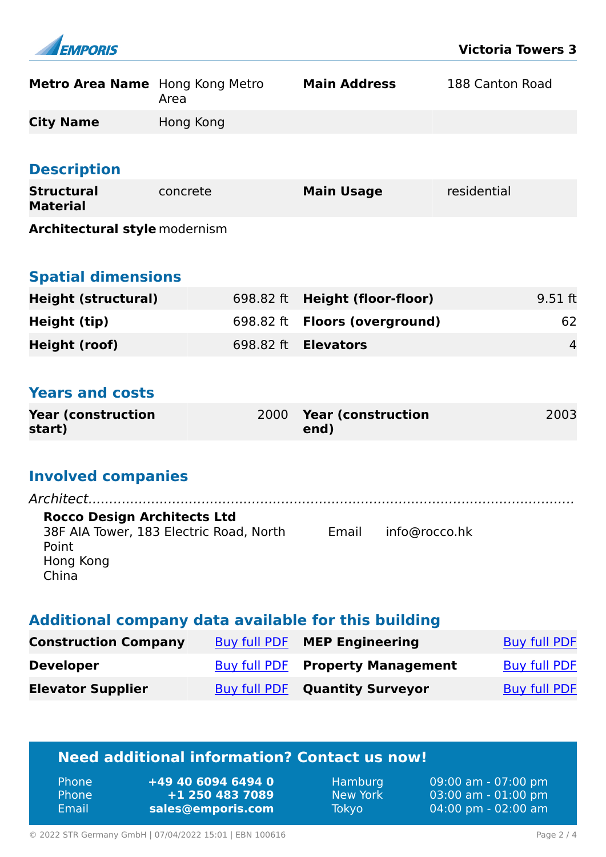| <b>EMPORIS</b> |
|----------------|

| Metro Area Name Hong Kong Metro | Area      | <b>Main Address</b> | 188 Canton Road |
|---------------------------------|-----------|---------------------|-----------------|
| <b>City Name</b>                | Hong Kong |                     |                 |
|                                 |           |                     |                 |
| <b>Description</b>              |           |                     |                 |

| <b>Structural</b><br><b>Material</b> | concrete | <b>Main Usage</b> | residential |
|--------------------------------------|----------|-------------------|-------------|
| <b>Architectural style modernism</b> |          |                   |             |

| <b>Spatial dimensions</b> |
|---------------------------|
|                           |

| <b>Height (structural)</b> | 698.82 ft Height (floor-floor)       | $9.51$ ft      |
|----------------------------|--------------------------------------|----------------|
| Height (tip)               | 698.82 ft <b>Floors (overground)</b> | 62             |
| Height (roof)              | 698.82 ft <b>Elevators</b>           | $\overline{4}$ |

### **Years and costs**

| <b>Year (construction)</b> | 2000 Year (construction | 2003 |
|----------------------------|-------------------------|------|
| start)                     | end)                    |      |

# **Involved companies**

| <b>Rocco Design Architects Ltd</b><br>38F AIA Tower, 183 Electric Road, North<br>Point<br>Hong Kong<br>China | Email info@rocco.hk |  |
|--------------------------------------------------------------------------------------------------------------|---------------------|--|

#### **Additional company data available for this building**

| <b>Construction Company</b> | Buy full PDF MEP Engineering            | Buy full PDF |
|-----------------------------|-----------------------------------------|--------------|
| <b>Developer</b>            | <b>Buy full PDF Property Management</b> | Buy full PDF |
| <b>Elevator Supplier</b>    | <b>Buy full PDF Quantity Surveyor</b>   | Buy full PDF |

# **Need additional information? Contact us now!**

| 'Phone       | +49 40 6094 6494 0 |
|--------------|--------------------|
| <b>Phone</b> | +1 250 483 7089    |
| Email        | sales@emporis.com  |

Hamburg 09:00 am - 07:00 pm<br>New York 03:00 am - 01:00 pm New York 03:00 am - 01:00 pm<br>Tokyo 04:00 pm - 02:00 am 04:00 pm - 02:00 am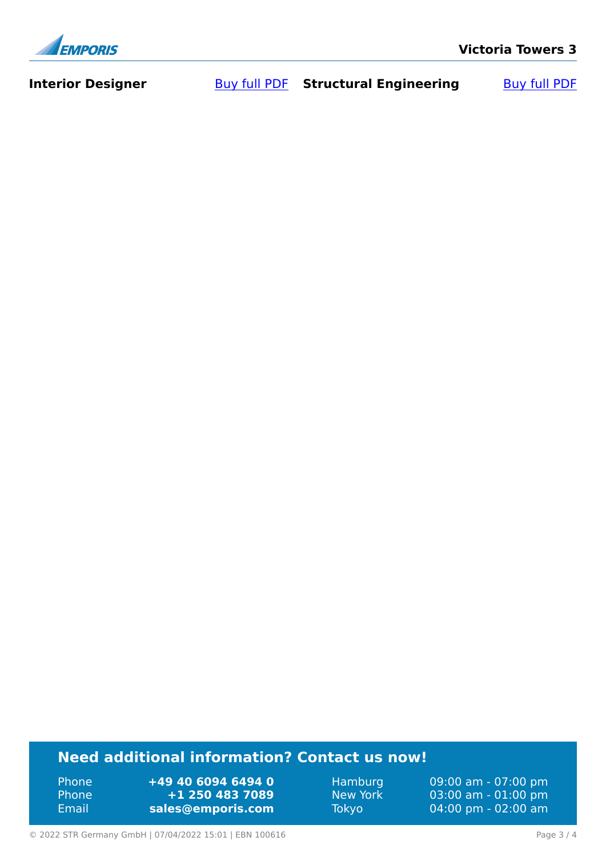

**Interior Designer** [Buy full PDF](https://www.emporis.com/buildings/100616/victoria-towers-3-hong-kong-china?buypdf=) Structural Engineering Buy full PDF

# **Need additional information? Contact us now!**

Phone **+49 40 6094 6494 0<br>
Phone <b>+1 250 483 7089** Phone **+1 250 483 7089** Email **<sales@emporis.com>**

Hamburg 09:00 am - 07:00 pm<br>New York 03:00 am - 01:00 pm New York 03:00 am - 01:00 pm<br>Tokyo 04:00 pm - 02:00 am 04:00 pm - 02:00 am